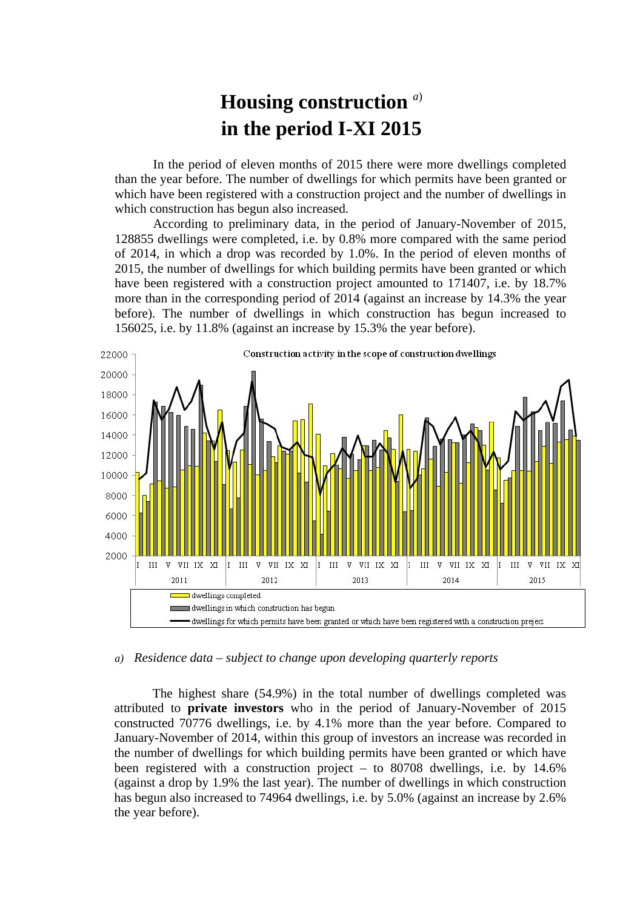## **Housing construction** *<sup>a</sup>*) **in the period I-XI 2015**

In the period of eleven months of 2015 there were more dwellings completed than the year before. The number of dwellings for which permits have been granted or which have been registered with a construction project and the number of dwellings in which construction has begun also increased.

According to preliminary data, in the period of January-November of 2015, 128855 dwellings were completed, i.e. by 0.8% more compared with the same period of 2014, in which a drop was recorded by 1.0%. In the period of eleven months of 2015, the number of dwellings for which building permits have been granted or which have been registered with a construction project amounted to 171407, i.e. by 18.7% more than in the corresponding period of 2014 (against an increase by 14.3% the year before). The number of dwellings in which construction has begun increased to 156025, i.e. by 11.8% (against an increase by 15.3% the year before).



*a) Residence data – subject to change upon developing quarterly reports*

The highest share (54.9%) in the total number of dwellings completed was attributed to **private investors** who in the period of January-November of 2015 constructed 70776 dwellings, i.e. by 4.1% more than the year before. Compared to January-November of 2014, within this group of investors an increase was recorded in the number of dwellings for which building permits have been granted or which have been registered with a construction project – to 80708 dwellings, i.e. by 14.6% (against a drop by 1.9% the last year). The number of dwellings in which construction has begun also increased to 74964 dwellings, i.e. by 5.0% (against an increase by 2.6% the year before).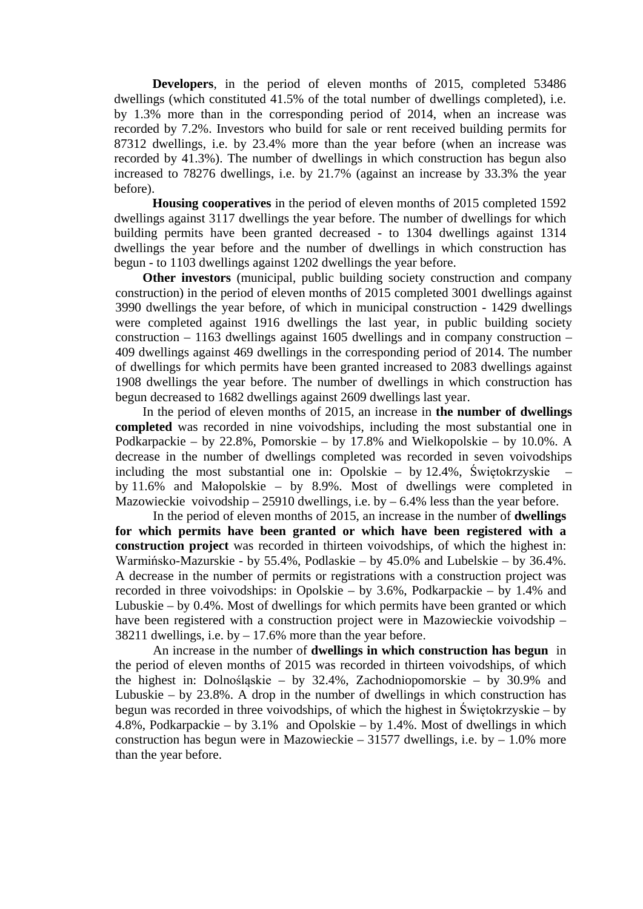**Developers**, in the period of eleven months of 2015, completed 53486 dwellings (which constituted 41.5% of the total number of dwellings completed), i.e. by 1.3% more than in the corresponding period of 2014, when an increase was recorded by 7.2%. Investors who build for sale or rent received building permits for 87312 dwellings, i.e. by 23.4% more than the year before (when an increase was recorded by 41.3%). The number of dwellings in which construction has begun also increased to 78276 dwellings, i.e. by 21.7% (against an increase by 33.3% the year before).

**Housing cooperatives** in the period of eleven months of 2015 completed 1592 dwellings against 3117 dwellings the year before. The number of dwellings for which building permits have been granted decreased - to 1304 dwellings against 1314 dwellings the year before and the number of dwellings in which construction has begun - to 1103 dwellings against 1202 dwellings the year before.

**Other investors** (municipal, public building society construction and company construction) in the period of eleven months of 2015 completed 3001 dwellings against 3990 dwellings the year before, of which in municipal construction - 1429 dwellings were completed against 1916 dwellings the last year, in public building society construction – 1163 dwellings against 1605 dwellings and in company construction – 409 dwellings against 469 dwellings in the corresponding period of 2014. The number of dwellings for which permits have been granted increased to 2083 dwellings against 1908 dwellings the year before. The number of dwellings in which construction has begun decreased to 1682 dwellings against 2609 dwellings last year.

In the period of eleven months of 2015, an increase in **the number of dwellings completed** was recorded in nine voivodships, including the most substantial one in Podkarpackie – by 22.8%, Pomorskie – by 17.8% and Wielkopolskie – by 10.0%. A decrease in the number of dwellings completed was recorded in seven voivodships including the most substantial one in: Opolskie – by 12.4%, Świętokrzyskie – by 11.6% and Małopolskie – by 8.9%. Most of dwellings were completed in Mazowieckie voivodship  $-25910$  dwellings, i.e. by  $-6.4\%$  less than the year before.

In the period of eleven months of 2015, an increase in the number of **dwellings for which permits have been granted or which have been registered with a construction project** was recorded in thirteen voivodships, of which the highest in: Warmińsko-Mazurskie - by 55.4%, Podlaskie – by 45.0% and Lubelskie – by 36.4%. A decrease in the number of permits or registrations with a construction project was recorded in three voivodships: in Opolskie – by 3.6%, Podkarpackie – by 1.4% and Lubuskie – by 0.4%. Most of dwellings for which permits have been granted or which have been registered with a construction project were in Mazowieckie voivodship – 38211 dwellings, i.e. by  $-17.6\%$  more than the year before.

An increase in the number of **dwellings in which construction has begun** in the period of eleven months of 2015 was recorded in thirteen voivodships, of which the highest in: Dolnośląskie – by 32.4%, Zachodniopomorskie – by 30.9% and Lubuskie – by  $23.8\%$ . A drop in the number of dwellings in which construction has begun was recorded in three voivodships, of which the highest in Świętokrzyskie – by 4.8%, Podkarpackie – by 3.1% and Opolskie – by 1.4%. Most of dwellings in which construction has begun were in Mazowieckie – 31577 dwellings, i.e. by  $-1.0\%$  more than the year before.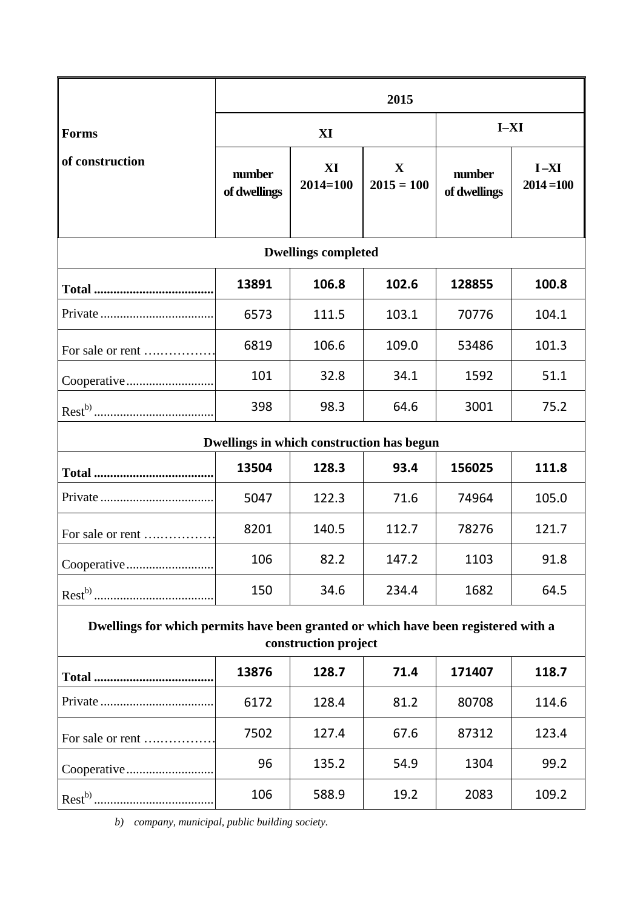|                                                                                                            | 2015                   |                    |                   |                        |                        |
|------------------------------------------------------------------------------------------------------------|------------------------|--------------------|-------------------|------------------------|------------------------|
| <b>Forms</b>                                                                                               | XI                     |                    |                   | $I-XI$                 |                        |
| of construction                                                                                            | number<br>of dwellings | XI<br>$2014 = 100$ | X<br>$2015 = 100$ | number<br>of dwellings | $I-XI$<br>$2014 = 100$ |
| <b>Dwellings completed</b>                                                                                 |                        |                    |                   |                        |                        |
|                                                                                                            | 13891                  | 106.8              | 102.6             | 128855                 | 100.8                  |
|                                                                                                            | 6573                   | 111.5              | 103.1             | 70776                  | 104.1                  |
| For sale or rent                                                                                           | 6819                   | 106.6              | 109.0             | 53486                  | 101.3                  |
|                                                                                                            | 101                    | 32.8               | 34.1              | 1592                   | 51.1                   |
|                                                                                                            | 398                    | 98.3               | 64.6              | 3001                   | 75.2                   |
| Dwellings in which construction has begun                                                                  |                        |                    |                   |                        |                        |
|                                                                                                            | 13504                  | 128.3              | 93.4              | 156025                 | 111.8                  |
|                                                                                                            | 5047                   | 122.3              | 71.6              | 74964                  | 105.0                  |
| For sale or rent                                                                                           | 8201                   | 140.5              | 112.7             | 78276                  | 121.7                  |
|                                                                                                            | 106                    | 82.2               | 147.2             | 1103                   | 91.8                   |
|                                                                                                            | 150                    | 34.6               | 234.4             | 1682                   | 64.5                   |
| Dwellings for which permits have been granted or which have been registered with a<br>construction project |                        |                    |                   |                        |                        |
|                                                                                                            | 13876                  | 128.7              | 71.4              | 171407                 | 118.7                  |
|                                                                                                            | 6172                   | 128.4              | 81.2              | 80708                  | 114.6                  |
| For sale or rent                                                                                           | 7502                   | 127.4              | 67.6              | 87312                  | 123.4                  |
|                                                                                                            | 96                     | 135.2              | 54.9              | 1304                   | 99.2                   |
|                                                                                                            | 106                    | 588.9              | 19.2              | 2083                   | 109.2                  |

*b) company, municipal, public building society.*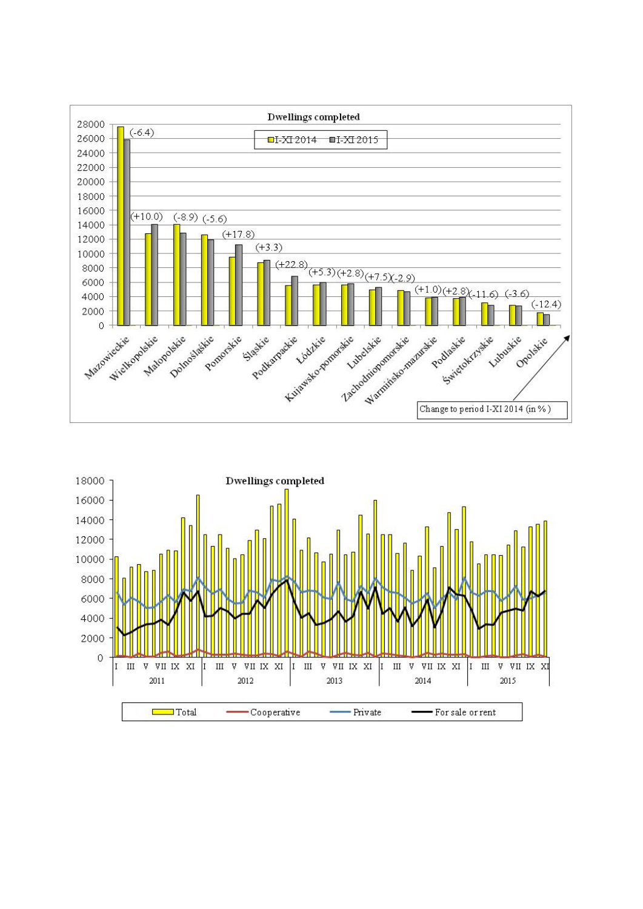